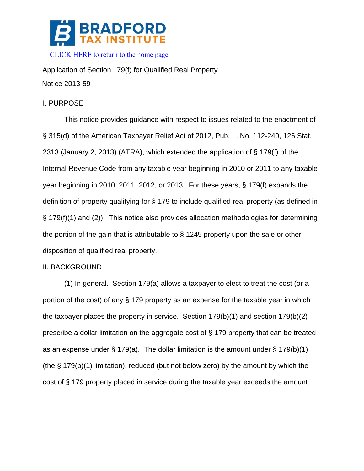

Application of Section 179(f) for Qualified Real Property Notice 2013-59

# I. PURPOSE

This notice provides guidance with respect to issues related to the enactment of § 315(d) of the American Taxpayer Relief Act of 2012, Pub. L. No. 112-240, 126 Stat. 2313 (January 2, 2013) (ATRA), which extended the application of § 179(f) of the Internal Revenue Code from any taxable year beginning in 2010 or 2011 to any taxable year beginning in 2010, 2011, 2012, or 2013. For these years, § 179(f) expands the definition of property qualifying for § 179 to include qualified real property (as defined in § 179(f)(1) and (2)). This notice also provides allocation methodologies for determining the portion of the gain that is attributable to § 1245 property upon the sale or other disposition of qualified real property.

# II. BACKGROUND

(1) In general. Section 179(a) allows a taxpayer to elect to treat the cost (or a portion of the cost) of any § 179 property as an expense for the taxable year in which the taxpayer places the property in service. Section 179(b)(1) and section 179(b)(2) prescribe a dollar limitation on the aggregate cost of § 179 property that can be treated as an expense under  $\S 179(a)$ . The dollar limitation is the amount under  $\S 179(b)(1)$ (the § 179(b)(1) limitation), reduced (but not below zero) by the amount by which the cost of § 179 property placed in service during the taxable year exceeds the amount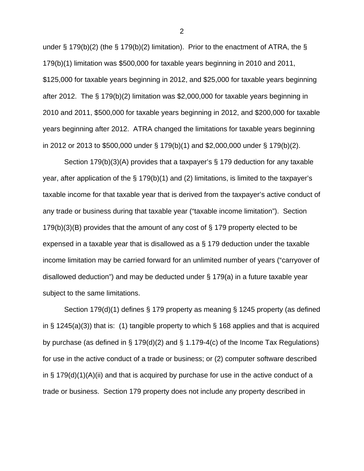under § 179(b)(2) (the § 179(b)(2) limitation). Prior to the enactment of ATRA, the § 179(b)(1) limitation was \$500,000 for taxable years beginning in 2010 and 2011, \$125,000 for taxable years beginning in 2012, and \$25,000 for taxable years beginning after 2012. The § 179(b)(2) limitation was \$2,000,000 for taxable years beginning in 2010 and 2011, \$500,000 for taxable years beginning in 2012, and \$200,000 for taxable years beginning after 2012. ATRA changed the limitations for taxable years beginning in 2012 or 2013 to \$500,000 under § 179(b)(1) and \$2,000,000 under § 179(b)(2).

Section 179(b)(3)(A) provides that a taxpayer's § 179 deduction for any taxable year, after application of the § 179(b)(1) and (2) limitations, is limited to the taxpayer's taxable income for that taxable year that is derived from the taxpayer's active conduct of any trade or business during that taxable year ("taxable income limitation"). Section 179(b)(3)(B) provides that the amount of any cost of § 179 property elected to be expensed in a taxable year that is disallowed as a § 179 deduction under the taxable income limitation may be carried forward for an unlimited number of years ("carryover of disallowed deduction") and may be deducted under § 179(a) in a future taxable year subject to the same limitations.

Section 179(d)(1) defines § 179 property as meaning § 1245 property (as defined in § 1245(a)(3)) that is: (1) tangible property to which § 168 applies and that is acquired by purchase (as defined in § 179(d)(2) and § 1.179-4(c) of the Income Tax Regulations) for use in the active conduct of a trade or business; or (2) computer software described in  $\S$  179(d)(1)(A)(ii) and that is acquired by purchase for use in the active conduct of a trade or business. Section 179 property does not include any property described in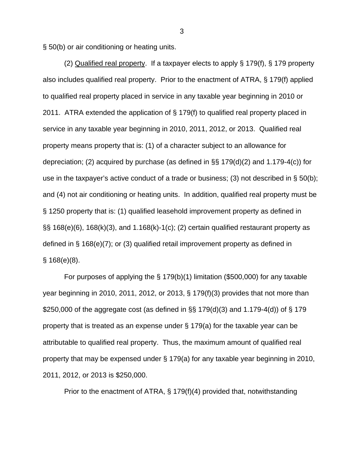§ 50(b) or air conditioning or heating units.

(2) Qualified real property. If a taxpayer elects to apply § 179(f), § 179 property also includes qualified real property. Prior to the enactment of ATRA, § 179(f) applied to qualified real property placed in service in any taxable year beginning in 2010 or 2011. ATRA extended the application of § 179(f) to qualified real property placed in service in any taxable year beginning in 2010, 2011, 2012, or 2013. Qualified real property means property that is: (1) of a character subject to an allowance for depreciation; (2) acquired by purchase (as defined in §§ 179(d)(2) and 1.179-4(c)) for use in the taxpayer's active conduct of a trade or business; (3) not described in § 50(b); and (4) not air conditioning or heating units. In addition, qualified real property must be § 1250 property that is: (1) qualified leasehold improvement property as defined in  $\S$ § 168(e)(6), 168(k)(3), and 1.168(k)-1(c); (2) certain qualified restaurant property as defined in § 168(e)(7); or (3) qualified retail improvement property as defined in § 168(e)(8).

 For purposes of applying the § 179(b)(1) limitation (\$500,000) for any taxable year beginning in 2010, 2011, 2012, or 2013, § 179(f)(3) provides that not more than \$250,000 of the aggregate cost (as defined in §§ 179(d)(3) and 1.179-4(d)) of § 179 property that is treated as an expense under § 179(a) for the taxable year can be attributable to qualified real property. Thus, the maximum amount of qualified real property that may be expensed under § 179(a) for any taxable year beginning in 2010, 2011, 2012, or 2013 is \$250,000.

Prior to the enactment of ATRA, § 179(f)(4) provided that, notwithstanding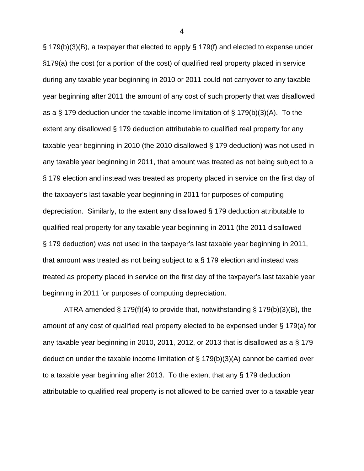§ 179(b)(3)(B), a taxpayer that elected to apply § 179(f) and elected to expense under §179(a) the cost (or a portion of the cost) of qualified real property placed in service during any taxable year beginning in 2010 or 2011 could not carryover to any taxable year beginning after 2011 the amount of any cost of such property that was disallowed as a § 179 deduction under the taxable income limitation of § 179(b)(3)(A). To the extent any disallowed § 179 deduction attributable to qualified real property for any taxable year beginning in 2010 (the 2010 disallowed § 179 deduction) was not used in any taxable year beginning in 2011, that amount was treated as not being subject to a § 179 election and instead was treated as property placed in service on the first day of the taxpayer's last taxable year beginning in 2011 for purposes of computing depreciation. Similarly, to the extent any disallowed § 179 deduction attributable to qualified real property for any taxable year beginning in 2011 (the 2011 disallowed § 179 deduction) was not used in the taxpayer's last taxable year beginning in 2011, that amount was treated as not being subject to a § 179 election and instead was treated as property placed in service on the first day of the taxpayer's last taxable year beginning in 2011 for purposes of computing depreciation.

ATRA amended § 179(f)(4) to provide that, notwithstanding § 179(b)(3)(B), the amount of any cost of qualified real property elected to be expensed under § 179(a) for any taxable year beginning in 2010, 2011, 2012, or 2013 that is disallowed as a § 179 deduction under the taxable income limitation of § 179(b)(3)(A) cannot be carried over to a taxable year beginning after 2013. To the extent that any § 179 deduction attributable to qualified real property is not allowed to be carried over to a taxable year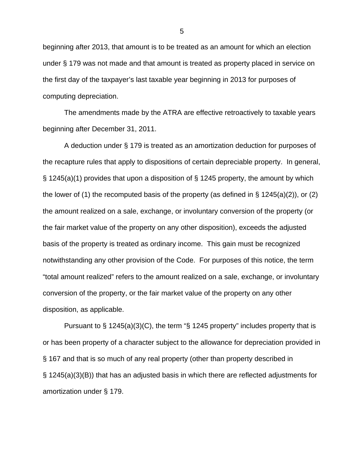beginning after 2013, that amount is to be treated as an amount for which an election under § 179 was not made and that amount is treated as property placed in service on the first day of the taxpayer's last taxable year beginning in 2013 for purposes of computing depreciation.

The amendments made by the ATRA are effective retroactively to taxable years beginning after December 31, 2011.

A deduction under § 179 is treated as an amortization deduction for purposes of the recapture rules that apply to dispositions of certain depreciable property. In general, § 1245(a)(1) provides that upon a disposition of § 1245 property, the amount by which the lower of (1) the recomputed basis of the property (as defined in  $\S$  1245(a)(2)), or (2) the amount realized on a sale, exchange, or involuntary conversion of the property (or the fair market value of the property on any other disposition), exceeds the adjusted basis of the property is treated as ordinary income. This gain must be recognized notwithstanding any other provision of the Code. For purposes of this notice, the term "total amount realized" refers to the amount realized on a sale, exchange, or involuntary conversion of the property, or the fair market value of the property on any other disposition, as applicable.

Pursuant to § 1245(a)(3)(C), the term "§ 1245 property" includes property that is or has been property of a character subject to the allowance for depreciation provided in § 167 and that is so much of any real property (other than property described in § 1245(a)(3)(B)) that has an adjusted basis in which there are reflected adjustments for amortization under § 179.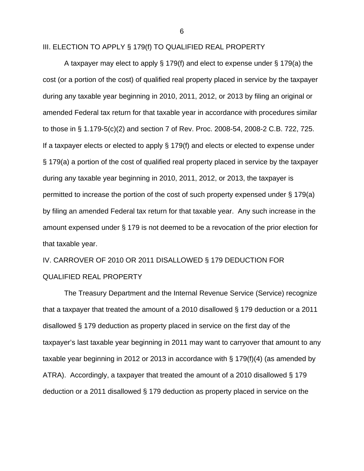III. ELECTION TO APPLY § 179(f) TO QUALIFIED REAL PROPERTY

 A taxpayer may elect to apply § 179(f) and elect to expense under § 179(a) the cost (or a portion of the cost) of qualified real property placed in service by the taxpayer during any taxable year beginning in 2010, 2011, 2012, or 2013 by filing an original or amended Federal tax return for that taxable year in accordance with procedures similar to those in § 1.179-5(c)(2) and section 7 of Rev. Proc. 2008-54, 2008-2 C.B. 722, 725. If a taxpayer elects or elected to apply § 179(f) and elects or elected to expense under § 179(a) a portion of the cost of qualified real property placed in service by the taxpayer during any taxable year beginning in 2010, 2011, 2012, or 2013, the taxpayer is permitted to increase the portion of the cost of such property expensed under § 179(a) by filing an amended Federal tax return for that taxable year. Any such increase in the amount expensed under § 179 is not deemed to be a revocation of the prior election for that taxable year.

IV. CARROVER OF 2010 OR 2011 DISALLOWED § 179 DEDUCTION FOR QUALIFIED REAL PROPERTY

The Treasury Department and the Internal Revenue Service (Service) recognize that a taxpayer that treated the amount of a 2010 disallowed § 179 deduction or a 2011 disallowed § 179 deduction as property placed in service on the first day of the taxpayer's last taxable year beginning in 2011 may want to carryover that amount to any taxable year beginning in 2012 or 2013 in accordance with § 179(f)(4) (as amended by ATRA). Accordingly, a taxpayer that treated the amount of a 2010 disallowed § 179 deduction or a 2011 disallowed § 179 deduction as property placed in service on the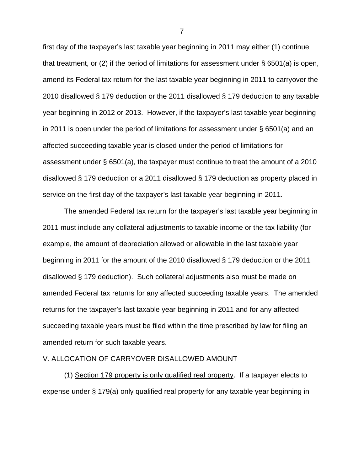first day of the taxpayer's last taxable year beginning in 2011 may either (1) continue that treatment, or (2) if the period of limitations for assessment under § 6501(a) is open, amend its Federal tax return for the last taxable year beginning in 2011 to carryover the 2010 disallowed § 179 deduction or the 2011 disallowed § 179 deduction to any taxable year beginning in 2012 or 2013. However, if the taxpayer's last taxable year beginning in 2011 is open under the period of limitations for assessment under § 6501(a) and an affected succeeding taxable year is closed under the period of limitations for assessment under § 6501(a), the taxpayer must continue to treat the amount of a 2010 disallowed § 179 deduction or a 2011 disallowed § 179 deduction as property placed in service on the first day of the taxpayer's last taxable year beginning in 2011.

The amended Federal tax return for the taxpayer's last taxable year beginning in 2011 must include any collateral adjustments to taxable income or the tax liability (for example, the amount of depreciation allowed or allowable in the last taxable year beginning in 2011 for the amount of the 2010 disallowed § 179 deduction or the 2011 disallowed § 179 deduction). Such collateral adjustments also must be made on amended Federal tax returns for any affected succeeding taxable years. The amended returns for the taxpayer's last taxable year beginning in 2011 and for any affected succeeding taxable years must be filed within the time prescribed by law for filing an amended return for such taxable years.

## V. ALLOCATION OF CARRYOVER DISALLOWED AMOUNT

 (1) Section 179 property is only qualified real property. If a taxpayer elects to expense under § 179(a) only qualified real property for any taxable year beginning in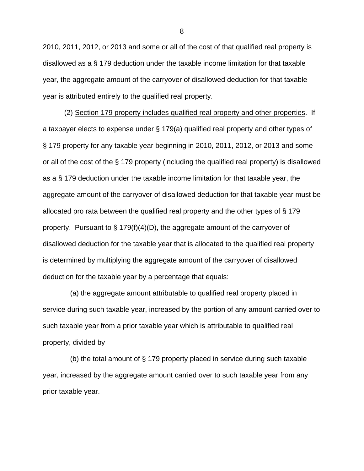2010, 2011, 2012, or 2013 and some or all of the cost of that qualified real property is disallowed as a § 179 deduction under the taxable income limitation for that taxable year, the aggregate amount of the carryover of disallowed deduction for that taxable year is attributed entirely to the qualified real property.

(2) Section 179 property includes qualified real property and other properties. If a taxpayer elects to expense under § 179(a) qualified real property and other types of § 179 property for any taxable year beginning in 2010, 2011, 2012, or 2013 and some or all of the cost of the § 179 property (including the qualified real property) is disallowed as a § 179 deduction under the taxable income limitation for that taxable year, the aggregate amount of the carryover of disallowed deduction for that taxable year must be allocated pro rata between the qualified real property and the other types of § 179 property. Pursuant to § 179(f)(4)(D), the aggregate amount of the carryover of disallowed deduction for the taxable year that is allocated to the qualified real property is determined by multiplying the aggregate amount of the carryover of disallowed deduction for the taxable year by a percentage that equals:

 (a) the aggregate amount attributable to qualified real property placed in service during such taxable year, increased by the portion of any amount carried over to such taxable year from a prior taxable year which is attributable to qualified real property, divided by

 (b) the total amount of § 179 property placed in service during such taxable year, increased by the aggregate amount carried over to such taxable year from any prior taxable year.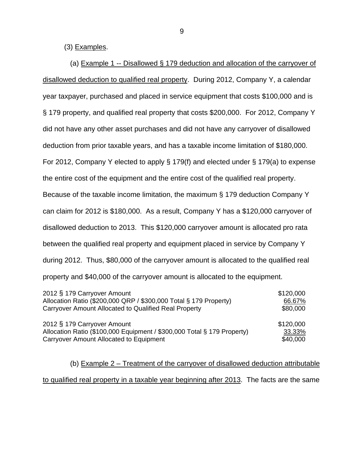(3) Examples.

 (a) Example 1 -- Disallowed § 179 deduction and allocation of the carryover of disallowed deduction to qualified real property. During 2012, Company Y, a calendar year taxpayer, purchased and placed in service equipment that costs \$100,000 and is § 179 property, and qualified real property that costs \$200,000. For 2012, Company Y did not have any other asset purchases and did not have any carryover of disallowed deduction from prior taxable years, and has a taxable income limitation of \$180,000. For 2012, Company Y elected to apply § 179(f) and elected under § 179(a) to expense the entire cost of the equipment and the entire cost of the qualified real property. Because of the taxable income limitation, the maximum § 179 deduction Company Y can claim for 2012 is \$180,000. As a result, Company Y has a \$120,000 carryover of disallowed deduction to 2013. This \$120,000 carryover amount is allocated pro rata between the qualified real property and equipment placed in service by Company Y during 2012. Thus, \$80,000 of the carryover amount is allocated to the qualified real property and \$40,000 of the carryover amount is allocated to the equipment.

| 2012 § 179 Carryover Amount                                             | \$120,000 |
|-------------------------------------------------------------------------|-----------|
| Allocation Ratio (\$200,000 QRP / \$300,000 Total § 179 Property)       | 66.67%    |
| Carryover Amount Allocated to Qualified Real Property                   | \$80,000  |
| 2012 § 179 Carryover Amount                                             | \$120,000 |
| Allocation Ratio (\$100,000 Equipment / \$300,000 Total § 179 Property) | 33.33%    |
| Carryover Amount Allocated to Equipment                                 | \$40,000  |

 (b) Example 2 – Treatment of the carryover of disallowed deduction attributable to qualified real property in a taxable year beginning after 2013. The facts are the same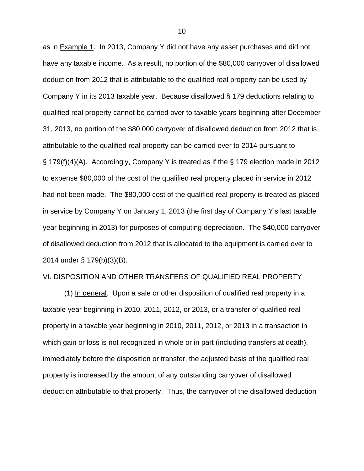as in Example 1. In 2013, Company Y did not have any asset purchases and did not have any taxable income. As a result, no portion of the \$80,000 carryover of disallowed deduction from 2012 that is attributable to the qualified real property can be used by Company Y in its 2013 taxable year. Because disallowed § 179 deductions relating to qualified real property cannot be carried over to taxable years beginning after December 31, 2013, no portion of the \$80,000 carryover of disallowed deduction from 2012 that is attributable to the qualified real property can be carried over to 2014 pursuant to § 179(f)(4)(A). Accordingly, Company Y is treated as if the § 179 election made in 2012 to expense \$80,000 of the cost of the qualified real property placed in service in 2012 had not been made. The \$80,000 cost of the qualified real property is treated as placed in service by Company Y on January 1, 2013 (the first day of Company Y's last taxable year beginning in 2013) for purposes of computing depreciation. The \$40,000 carryover of disallowed deduction from 2012 that is allocated to the equipment is carried over to 2014 under § 179(b)(3)(B).

## VI. DISPOSITION AND OTHER TRANSFERS OF QUALIFIED REAL PROPERTY

(1) In general. Upon a sale or other disposition of qualified real property in a taxable year beginning in 2010, 2011, 2012, or 2013, or a transfer of qualified real property in a taxable year beginning in 2010, 2011, 2012, or 2013 in a transaction in which gain or loss is not recognized in whole or in part (including transfers at death), immediately before the disposition or transfer, the adjusted basis of the qualified real property is increased by the amount of any outstanding carryover of disallowed deduction attributable to that property. Thus, the carryover of the disallowed deduction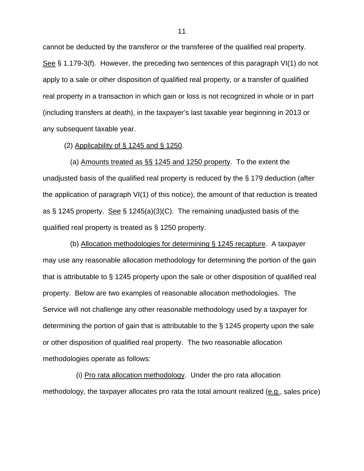cannot be deducted by the transferor or the transferee of the qualified real property. See § 1.179-3(f). However, the preceding two sentences of this paragraph VI(1) do not apply to a sale or other disposition of qualified real property, or a transfer of qualified real property in a transaction in which gain or loss is not recognized in whole or in part (including transfers at death), in the taxpayer's last taxable year beginning in 2013 or any subsequent taxable year.

#### (2) Applicability of § 1245 and § 1250.

 (a) Amounts treated as §§ 1245 and 1250 property. To the extent the unadjusted basis of the qualified real property is reduced by the § 179 deduction (after the application of paragraph VI(1) of this notice), the amount of that reduction is treated as § 1245 property. See § 1245(a)(3)(C). The remaining unadjusted basis of the qualified real property is treated as § 1250 property.

 (b) Allocation methodologies for determining § 1245 recapture. A taxpayer may use any reasonable allocation methodology for determining the portion of the gain that is attributable to § 1245 property upon the sale or other disposition of qualified real property. Below are two examples of reasonable allocation methodologies. The Service will not challenge any other reasonable methodology used by a taxpayer for determining the portion of gain that is attributable to the § 1245 property upon the sale or other disposition of qualified real property. The two reasonable allocation methodologies operate as follows:

 (i) Pro rata allocation methodology. Under the pro rata allocation methodology, the taxpayer allocates pro rata the total amount realized (e.g., sales price)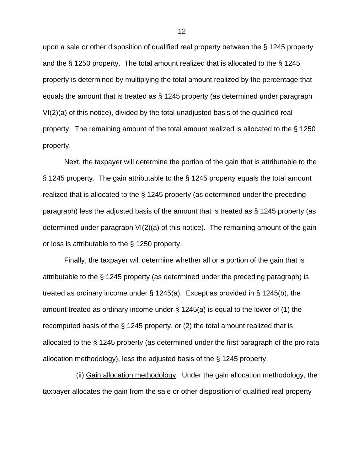upon a sale or other disposition of qualified real property between the § 1245 property and the § 1250 property. The total amount realized that is allocated to the § 1245 property is determined by multiplying the total amount realized by the percentage that equals the amount that is treated as § 1245 property (as determined under paragraph VI(2)(a) of this notice), divided by the total unadjusted basis of the qualified real property. The remaining amount of the total amount realized is allocated to the § 1250 property.

Next, the taxpayer will determine the portion of the gain that is attributable to the § 1245 property. The gain attributable to the § 1245 property equals the total amount realized that is allocated to the § 1245 property (as determined under the preceding paragraph) less the adjusted basis of the amount that is treated as § 1245 property (as determined under paragraph VI(2)(a) of this notice). The remaining amount of the gain or loss is attributable to the § 1250 property.

Finally, the taxpayer will determine whether all or a portion of the gain that is attributable to the § 1245 property (as determined under the preceding paragraph) is treated as ordinary income under § 1245(a). Except as provided in § 1245(b), the amount treated as ordinary income under § 1245(a) is equal to the lower of (1) the recomputed basis of the § 1245 property, or (2) the total amount realized that is allocated to the § 1245 property (as determined under the first paragraph of the pro rata allocation methodology), less the adjusted basis of the § 1245 property.

 (ii) Gain allocation methodology. Under the gain allocation methodology, the taxpayer allocates the gain from the sale or other disposition of qualified real property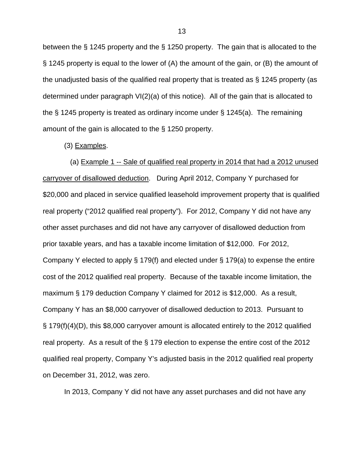between the § 1245 property and the § 1250 property. The gain that is allocated to the § 1245 property is equal to the lower of (A) the amount of the gain, or (B) the amount of the unadjusted basis of the qualified real property that is treated as § 1245 property (as determined under paragraph VI(2)(a) of this notice). All of the gain that is allocated to the § 1245 property is treated as ordinary income under § 1245(a). The remaining amount of the gain is allocated to the § 1250 property.

(3) Examples.

 (a) Example 1 -- Sale of qualified real property in 2014 that had a 2012 unused carryover of disallowed deduction. During April 2012, Company Y purchased for \$20,000 and placed in service qualified leasehold improvement property that is qualified real property ("2012 qualified real property"). For 2012, Company Y did not have any other asset purchases and did not have any carryover of disallowed deduction from prior taxable years, and has a taxable income limitation of \$12,000. For 2012, Company Y elected to apply § 179(f) and elected under § 179(a) to expense the entire cost of the 2012 qualified real property. Because of the taxable income limitation, the maximum § 179 deduction Company Y claimed for 2012 is \$12,000. As a result, Company Y has an \$8,000 carryover of disallowed deduction to 2013. Pursuant to § 179(f)(4)(D), this \$8,000 carryover amount is allocated entirely to the 2012 qualified real property. As a result of the § 179 election to expense the entire cost of the 2012 qualified real property, Company Y's adjusted basis in the 2012 qualified real property on December 31, 2012, was zero.

In 2013, Company Y did not have any asset purchases and did not have any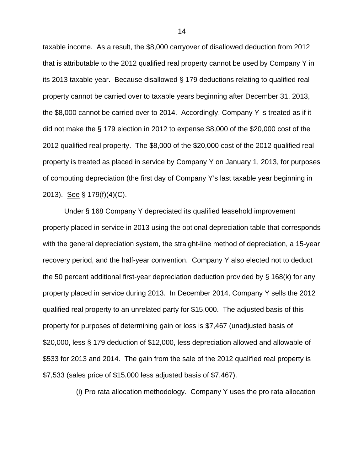taxable income. As a result, the \$8,000 carryover of disallowed deduction from 2012 that is attributable to the 2012 qualified real property cannot be used by Company Y in its 2013 taxable year. Because disallowed § 179 deductions relating to qualified real property cannot be carried over to taxable years beginning after December 31, 2013, the \$8,000 cannot be carried over to 2014. Accordingly, Company Y is treated as if it did not make the § 179 election in 2012 to expense \$8,000 of the \$20,000 cost of the 2012 qualified real property. The \$8,000 of the \$20,000 cost of the 2012 qualified real property is treated as placed in service by Company Y on January 1, 2013, for purposes of computing depreciation (the first day of Company Y's last taxable year beginning in 2013). See § 179(f)(4)(C).

Under § 168 Company Y depreciated its qualified leasehold improvement property placed in service in 2013 using the optional depreciation table that corresponds with the general depreciation system, the straight-line method of depreciation, a 15-year recovery period, and the half-year convention. Company Y also elected not to deduct the 50 percent additional first-year depreciation deduction provided by § 168(k) for any property placed in service during 2013. In December 2014, Company Y sells the 2012 qualified real property to an unrelated party for \$15,000. The adjusted basis of this property for purposes of determining gain or loss is \$7,467 (unadjusted basis of \$20,000, less § 179 deduction of \$12,000, less depreciation allowed and allowable of \$533 for 2013 and 2014. The gain from the sale of the 2012 qualified real property is \$7,533 (sales price of \$15,000 less adjusted basis of \$7,467).

(i) Pro rata allocation methodology. Company Y uses the pro rata allocation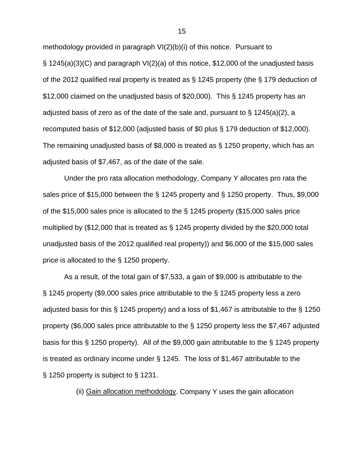methodology provided in paragraph VI(2)(b)(i) of this notice. Pursuant to § 1245(a)(3)(C) and paragraph VI(2)(a) of this notice, \$12,000 of the unadjusted basis of the 2012 qualified real property is treated as § 1245 property (the § 179 deduction of \$12,000 claimed on the unadjusted basis of \$20,000). This § 1245 property has an adjusted basis of zero as of the date of the sale and, pursuant to  $\S$  1245(a)(2), a recomputed basis of \$12,000 (adjusted basis of \$0 plus § 179 deduction of \$12,000). The remaining unadjusted basis of \$8,000 is treated as § 1250 property, which has an adjusted basis of \$7,467, as of the date of the sale.

Under the pro rata allocation methodology, Company Y allocates pro rata the sales price of \$15,000 between the § 1245 property and § 1250 property. Thus, \$9,000 of the \$15,000 sales price is allocated to the § 1245 property (\$15,000 sales price multiplied by (\$12,000 that is treated as § 1245 property divided by the \$20,000 total unadjusted basis of the 2012 qualified real property)) and \$6,000 of the \$15,000 sales price is allocated to the § 1250 property.

As a result, of the total gain of \$7,533, a gain of \$9,000 is attributable to the § 1245 property (\$9,000 sales price attributable to the § 1245 property less a zero adjusted basis for this § 1245 property) and a loss of \$1,467 is attributable to the § 1250 property (\$6,000 sales price attributable to the § 1250 property less the \$7,467 adjusted basis for this § 1250 property). All of the \$9,000 gain attributable to the § 1245 property is treated as ordinary income under § 1245. The loss of \$1,467 attributable to the § 1250 property is subject to § 1231.

(ii) Gain allocation methodology. Company Y uses the gain allocation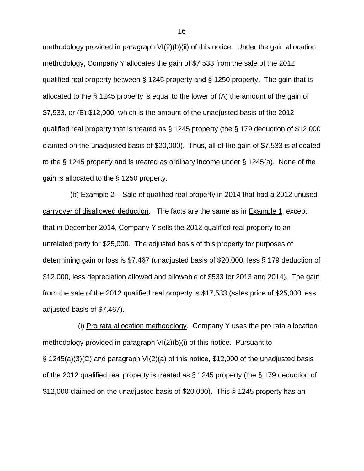methodology provided in paragraph VI(2)(b)(ii) of this notice. Under the gain allocation methodology, Company Y allocates the gain of \$7,533 from the sale of the 2012 qualified real property between § 1245 property and § 1250 property. The gain that is allocated to the § 1245 property is equal to the lower of (A) the amount of the gain of \$7,533, or (B) \$12,000, which is the amount of the unadjusted basis of the 2012 qualified real property that is treated as § 1245 property (the § 179 deduction of \$12,000 claimed on the unadjusted basis of \$20,000). Thus, all of the gain of \$7,533 is allocated to the § 1245 property and is treated as ordinary income under § 1245(a). None of the gain is allocated to the § 1250 property.

 (b) Example 2 – Sale of qualified real property in 2014 that had a 2012 unused carryover of disallowed deduction. The facts are the same as in Example 1, except that in December 2014, Company Y sells the 2012 qualified real property to an unrelated party for \$25,000. The adjusted basis of this property for purposes of determining gain or loss is \$7,467 (unadjusted basis of \$20,000, less § 179 deduction of \$12,000, less depreciation allowed and allowable of \$533 for 2013 and 2014). The gain from the sale of the 2012 qualified real property is \$17,533 (sales price of \$25,000 less adjusted basis of \$7,467).

 (i) Pro rata allocation methodology. Company Y uses the pro rata allocation methodology provided in paragraph VI(2)(b)(i) of this notice. Pursuant to § 1245(a)(3)(C) and paragraph VI(2)(a) of this notice, \$12,000 of the unadjusted basis of the 2012 qualified real property is treated as § 1245 property (the § 179 deduction of \$12,000 claimed on the unadjusted basis of \$20,000). This § 1245 property has an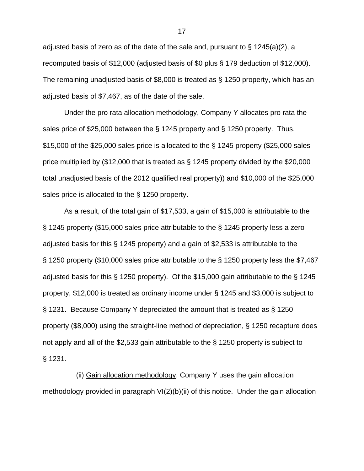adjusted basis of zero as of the date of the sale and, pursuant to  $\S$  1245(a)(2), a recomputed basis of \$12,000 (adjusted basis of \$0 plus § 179 deduction of \$12,000). The remaining unadjusted basis of \$8,000 is treated as § 1250 property, which has an adjusted basis of \$7,467, as of the date of the sale.

Under the pro rata allocation methodology, Company Y allocates pro rata the sales price of \$25,000 between the § 1245 property and § 1250 property. Thus, \$15,000 of the \$25,000 sales price is allocated to the § 1245 property (\$25,000 sales price multiplied by (\$12,000 that is treated as § 1245 property divided by the \$20,000 total unadjusted basis of the 2012 qualified real property)) and \$10,000 of the \$25,000 sales price is allocated to the § 1250 property.

As a result, of the total gain of \$17,533, a gain of \$15,000 is attributable to the § 1245 property (\$15,000 sales price attributable to the § 1245 property less a zero adjusted basis for this § 1245 property) and a gain of \$2,533 is attributable to the § 1250 property (\$10,000 sales price attributable to the § 1250 property less the \$7,467 adjusted basis for this § 1250 property). Of the \$15,000 gain attributable to the § 1245 property, \$12,000 is treated as ordinary income under § 1245 and \$3,000 is subject to § 1231. Because Company Y depreciated the amount that is treated as § 1250 property (\$8,000) using the straight-line method of depreciation, § 1250 recapture does not apply and all of the \$2,533 gain attributable to the § 1250 property is subject to § 1231.

 (ii) Gain allocation methodology. Company Y uses the gain allocation methodology provided in paragraph VI(2)(b)(ii) of this notice. Under the gain allocation